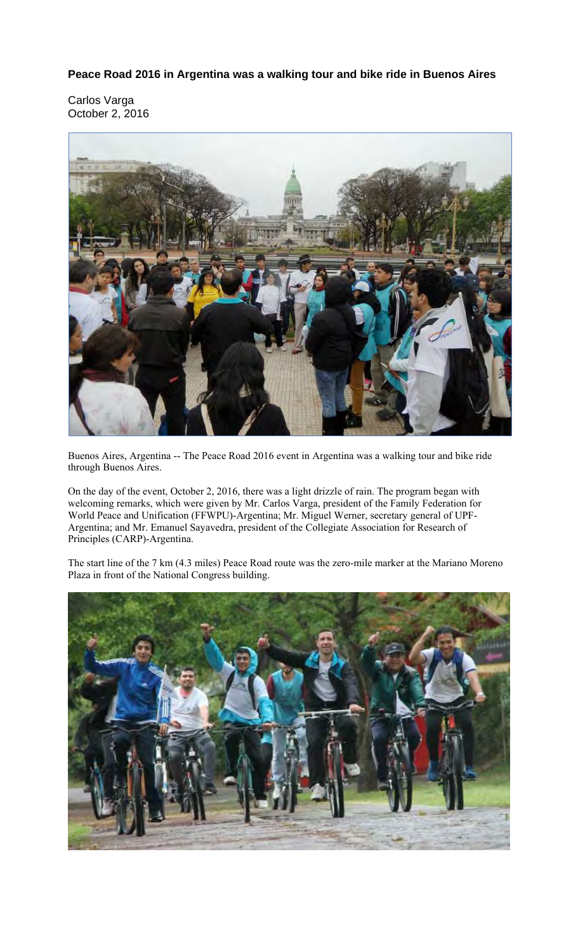**Peace Road 2016 in Argentina was a walking tour and bike ride in Buenos Aires** 

Carlos Varga October 2, 2016



Buenos Aires, Argentina -- The Peace Road 2016 event in Argentina was a walking tour and bike ride through Buenos Aires.

On the day of the event, October 2, 2016, there was a light drizzle of rain. The program began with welcoming remarks, which were given by Mr. Carlos Varga, president of the Family Federation for World Peace and Unification (FFWPU)-Argentina; Mr. Miguel Werner, secretary general of UPF-Argentina; and Mr. Emanuel Sayavedra, president of the Collegiate Association for Research of Principles (CARP)-Argentina.

The start line of the 7 km (4.3 miles) Peace Road route was the zero-mile marker at the Mariano Moreno Plaza in front of the National Congress building.